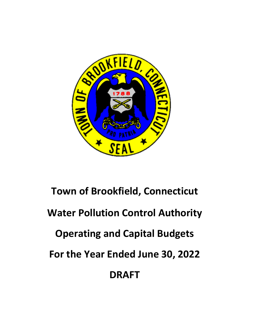

# **Town of Brookfield, Connecticut Water Pollution Control Authority Operating and Capital Budgets For the Year Ended June 30, 2022 DRAFT**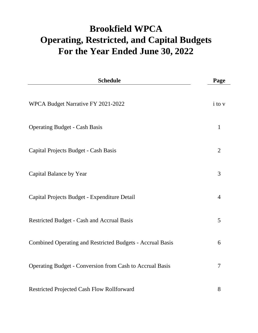## **Brookfield WPCA For the Year Ended June 30, 2022 Operating, Restricted, and Capital Budgets**

| <b>Schedule</b>                                                  | Page           |
|------------------------------------------------------------------|----------------|
| WPCA Budget Narrative FY 2021-2022                               | i to v         |
| <b>Operating Budget - Cash Basis</b>                             | $\mathbf{1}$   |
| Capital Projects Budget - Cash Basis                             | $\overline{2}$ |
| Capital Balance by Year                                          | 3              |
| Capital Projects Budget - Expenditure Detail                     | $\overline{4}$ |
| Restricted Budget - Cash and Accrual Basis                       | 5              |
| <b>Combined Operating and Restricted Budgets - Accrual Basis</b> | 6              |
| <b>Operating Budget - Conversion from Cash to Accrual Basis</b>  | $\overline{7}$ |
| Restricted Projected Cash Flow Rollforward                       | 8              |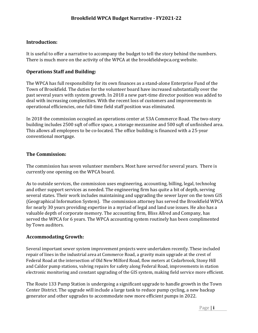#### **Introduction:**

It is useful to offer a narrative to accompany the budget to tell the story behind the numbers. There is much more on the activity of the WPCA at the brookfieldwpca.org website.

#### **Operations Staff and Building:**

The WPCA has full responsibility for its own finances as a stand-alone Enterprise Fund of the Town of Brookfield. The duties for the volunteer board have increased substantially over the past several years with system growth. In 2018 a new part-time director position was added to deal with increasing complexities. With the recent loss of customers and improvements in operational efficiencies, one full-time field staff position was eliminated.

In 2018 the commission occupied an operations center at 53A Commerce Road. The two-story building includes 2500 sqft of office space, a storage mezzanine and 500 sqft of unfinished area. This allows all employees to be co-located. The office building is financed with a 25-year conventional mortgage.

#### **The Commission:**

The commission has seven volunteer members. Most have served for several years. There is currently one opening on the WPCA board.

As to outside services, the commission uses engineering, accounting, billing, legal, technolog and other support services as needed. The engineering firm has quite a bit of depth, serving several states. Their work includes maintaining and upgrading the sewer layer on the town GIS (Geographical Information System). The commission attorney has served the Brookfield WPCA for nearly 30 years providing expertise in a myriad of legal and land use issues. He also has a valuable depth of corporate memory. The accounting firm, Bliss Allred and Company, has served the WPCA for 6 years. The WPCA accounting system routinely has been complimented by Town auditors.

#### **Accommodating Growth:**

Several important sewer system improvement projects were undertaken recently. These included repair of lines in the industrial area at Commerce Road, a gravity main upgrade at the crest of Federal Road at the intersection of Old New Milford Road, flow meters at Cedarbrook, Stony Hill and Caldor pump stations, valving repairs for safety along Federal Road, improvements in station electronic monitoring and constant upgrading of the GIS system, making field service more efficient.

The Route 133 Pump Station is undergoing a significant upgrade to handle growth in the Town Center District. The upgrade will include a large tank to reduce pump cycling, a new backup generator and other upgrades to accommodate new more efficient pumps in 2022.

Page | **i**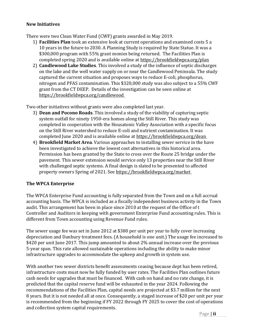#### **New Initiatives**

There were two Clean Water Fund (CWF) grants awarded in May 2019.

- 1) **Facilities Plan** took an extensive look at current operations and examined costs 5 a 10 years in the future to 2030. A Planning Study is required by State Statue. It was a \$300,000 program with 55% grant monies being returned. The Facilities Plan is completed spring 2020 and is available online at https://brookfieldwpca.org/plan
- 2) **Candlewood Lake Studies**. This involved a study of the influence of septic discharges on the lake and the well water supply on or near the Candlewood Peninsula. The study captured the current situation and proposes ways to reduce E-coli, phosphorus, nitrogen and PFAS contamination. This \$320,000 study was also subject to a 55% CWF grant from the CT DEEP. Details of the investigation can be seen online at https://brookfieldwpca.org/candlewood

Two other initiatives without grants were also completed last year.

- 3) **Dean and Pocono Roads**. This involved a study of the viability of capturing septic system outfall for ninety 1950-era homes along the Still River. This study was completed in cooperation with the Housatonic Valley Association with a specific focus on the Still River watershed to reduce E-coli and nutrient contamination. It was completed June 2020 and is available online at https://brookfieldwpca.org/dean
- 4) **Brookfield Market Area**. Various approaches to installing sewer service in the have been investigated to achieve the lowest cost alternatives in this historical area. Permission has been granted by the State to cross over the Route 25 bridge under the pavement. This sewer extension would service only 13 properties near the Still River with challenged septic systems. A final design is slated to be presented to affected property owners Spring of 2021. See https://brookfieldwpca.org/market

#### **The WPCA Enterprise**

The WPCA Enterprise Fund accounting is fully separated from the Town and on a full accrual accounting basis. The WPCA is included as a fiscally independent business activity in the Town audit. This arrangement has been in place since 2010 at the request of the Office of t Controller and Auditors in keeping with government Enterprise Fund accounting rules. This is different from Town accounting using Revenue Fund rules.

The sewer usage fee was set in June 2012 at \$380 per unit per year to fully cover increasing depreciation and Danbury treatment fees. (A household is one unit.) The usage fee increased to \$420 per unit June 2017. This jump amounted to about 2% annual increase over the previous 5-year span. This rate allowed sustainable operations including the ability to make minor infrastructure upgrades to accommodate the upkeep and growth in system use.

With another two sewer districts benefit assessments ceasing because dept has been retired, infrastructure costs must now be fully funded by user rates. The Facilities Plan outlines future cash needs for upgrades that must be financed. With cash on hand and no rate change, it is predicted that the capital reserve fund will be exhausted in the year 2024. Following the recommendations of the Facilities Plan, capital needs are projected at \$3.7 million for the next 8 years. But it is not needed all at once. Consequently, a staged increase of \$20 per unit per year is recommended from the beginning if FY 2022 through FY 2025 to cover the cost of operations and collection system capital requirements.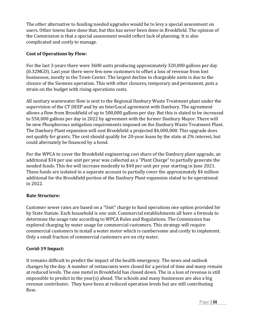The other alternative to funding needed upgrades would be to levy a special assessment on users. Other towns have done that, but this has never been done in Brookfield. The opinion of the Commission is that a special assessment would reflect lack of planning. It is also complicated and costly to manage.

#### **Cost of Operations by Flow:**

For the last 3-years there were 3600 units producing approximately 320,000 gallons per day (0.32MGD). Last year there were few new customers to offset a loss of revenue from lost businesses, mostly in the Town Center. The largest decline in chargeable units is due to the closure of the Siemens operation. This with other closures, temporary and permanent, puts a strain on the budget with rising operations costs.

All sanitary wastewater flow is sent to the Regional Danbury Waste Treatment plant under the supervision of the CT DEEP and by an InterLocal agreement with Danbury. The agreement allows a flow from Brookfield of up to 500,000 gallons per day. But this is slated to be increased to 550,000 gallons per day in 2022 by agreement with the former Danbury Mayor. There will be new Phosphorous mitigation requirements imposed on the Danbury Waste Treatment Plant. The Danbury Plant expansion will cost Brookfield a projected \$4,000,000. This upgrade does not qualify for grants. The cost should qualify for 20-year loans by the state at 2% interest, but could alternately be financed by a bond.

For the WPCA to cover the Brookfield engineering cost share of the Danbury plant upgrade, an additional \$34 per use unit per year was collected as a "Plant Charge" to partially generate the needed funds. This fee will increase modestly to \$40 per unit per year starting in June 2021. These funds are isolated in a separate account to partially cover the approximately \$4 million additional for the Brookfield portion of the Danbury Plant expansion slated to be operational in 2022.

#### **Rate Structure:**

Customer sewer rates are based on a "Unit" charge to fund operations one option provided for by State Statute. Each household is one unit. Commercial establishments all have a formula to determine the usage rate according to WPCA Rules and Regulations. The Commission has explored charging by water usage for commercial customers. This strategy will require commercial customers to install a water meter which is cumbersome and costly to implement. Only a small fraction of commercial customers are on city water.

#### **Covid-19 Impact:**

It remains difficult to predict the impact of the health emergency. The news and outlook changes by the day. A number of restaurants were closed for a period of time and many remain at reduced levels. The one motel in Brookfield has closed down. The in a loss of revenue is still impossible to predict in the year(s) ahead. The schools and many businesses are also a big revenue contributor. They have been at reduced operation levels but are still contributing flow.

Page | **iii**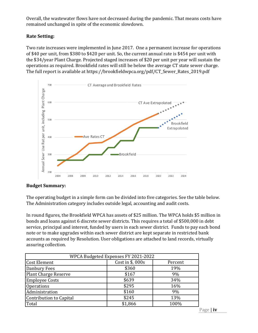Overall, the wastewater flows have not decreased during the pandemic. That means costs have remained unchanged in spite of the economic slowdown.

#### **Rate Setting:**

Two rate increases were implemented in June 2017. One a permanent increase for operations of \$40 per unit, from \$380 to \$420 per unit. So, the current annual rate is \$454 per unit with the \$34/year Plant Charge. Projected staged increases of \$20 per unit per year will sustain the operations as required. Brookfield rates will still be below the average CT state sewer charge. The full report is available at https://brookfieldwpca.org/pdf/CT\_Sewer\_Rates\_2019.pdf



#### **Budget Summary:**

The operating budget in a simple form can be divided into five categories. See the table below. The Administration category includes outside legal, accounting and audit costs.

In round figures, the Brookfield WPCA has assets of \$25 million. The WPCA holds \$5 million in bonds and loans against 6 discrete sewer districts. This requires a total of \$500,000 in debt service, principal and interest, funded by users in each sewer district. Funds to pay each bond note or to make upgrades within each sewer district are kept separate in restricted bank accounts as required by Resolution. User obligations are attached to land records, virtually assuring collection.

| WPCA Budgeted Expenses FY 2021-2022 |                  |         |  |  |  |  |  |  |  |  |
|-------------------------------------|------------------|---------|--|--|--|--|--|--|--|--|
| <b>Cost Element</b>                 | Cost in \$, 000s | Percent |  |  |  |  |  |  |  |  |
| Danbury Fees                        | \$360            | 19%     |  |  |  |  |  |  |  |  |
| <b>Plant Charge Reserve</b>         | \$167            | 9%      |  |  |  |  |  |  |  |  |
| <b>Employee Costs</b>               | \$639            | 34%     |  |  |  |  |  |  |  |  |
| <b>Operations</b>                   | \$295            | 16%     |  |  |  |  |  |  |  |  |
| Administration                      | \$160            | 9%      |  |  |  |  |  |  |  |  |
| Contribution to Capital             | \$245            | 13%     |  |  |  |  |  |  |  |  |
| Total                               | \$1,866          | 100%    |  |  |  |  |  |  |  |  |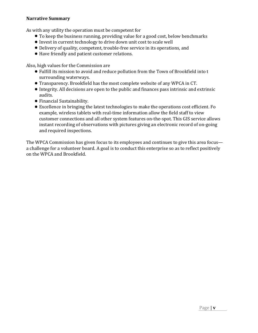#### **Narrative Summary**

As with any utility the operation must be competent for

- To keep the business running, providing value for a good cost, below benchmarks
- Invest in current technology to drive down unit cost to scale well
- Delivery of quality, competent, trouble-free service in its operations, and
- Have friendly and patient customer relations.

Also, high values for the Commission are

- Fulfill its mission to avoid and reduce pollution from the Town of Brookfield into t surrounding waterways.
- Transparency. Brookfield has the most complete website of any WPCA in CT.
- Integrity. All decisions are open to the public and finances pass intrinsic and extrinsic audits.
- Financial Sustainability.
- Excellence in bringing the latest technologies to make the operations cost efficient. Fo example, wireless tablets with real-time information allow the field staff to view customer connections and all other system features on-the-spot. This GIS service allows instant recording of observations with pictures giving an electronic record of on-going and required inspections.

The WPCA Commission has given focus to its employees and continues to give this area focus a challenge for a volunteer board. A goal is to conduct this enterprise so as to reflect positively on the WPCA and Brookfield.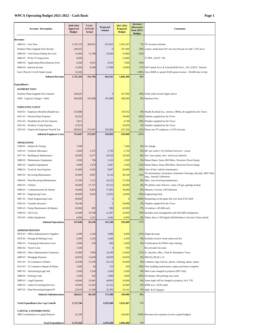#### **WPCA Operating Budget 2021-2022 - Cash Basis Page 1**

| <b>Account / Description</b>                                          | 2020-2021<br><b>Approved</b><br><b>Budget</b> | $7/1/19$ -<br>12/31/20<br>Actual | Projected<br>Annual | 2021-2022<br><b>Proposed</b><br><b>Budget</b> | Increase/<br>(Decrease)<br>from 20/21 | <b>Comments</b>                                                                               |
|-----------------------------------------------------------------------|-----------------------------------------------|----------------------------------|---------------------|-----------------------------------------------|---------------------------------------|-----------------------------------------------------------------------------------------------|
|                                                                       |                                               |                                  |                     |                                               | <b>Budget</b>                         |                                                                                               |
| <b>Revenues</b>                                                       |                                               |                                  |                     |                                               |                                       |                                                                                               |
| $4000-01 \cdot$ User Fees                                             | 1.532.378                                     | 306,811                          | 613,623             | 1,641,205                                     | 7%                                    | 3% increase estimate                                                                          |
| Danbury Plant Upgrade Fees Income                                     | 140,025                                       |                                  | $\overline{0}$      | 167,406                                       | 20%                                   | 2 parts, stand alone \$17 (no incr) & part of code 1 (3% incr)                                |
| 4900-02 · User/Assess Delinq Int./Lien                                | 31,000                                        | 11,780                           | 23,560              | 23,989                                        | $-23%$                                |                                                                                               |
| 4900-07 · PS & GT Inspections                                         | 9,600                                         |                                  |                     | 12,800                                        |                                       | 37 PPS, 123GT * 80                                                                            |
| 4900-03 · Application/Miscellaneous Fees                              | 4,500                                         | 4,655                            | 9,310               | 7,000                                         | 56%                                   |                                                                                               |
| 9000-03 · Interest Income                                             | 12,000                                        | 8,549                            | 17,098              | 14,000                                        | 17%                                   | SW Capital Acct. & Unused BAN Acct., 2% CCRCC Interest                                        |
| Facil. Plan & CLA & Study Grants                                      | 25,600                                        |                                  |                     |                                               | $-100%$                               | Up to $$40K$ to spend; $$22K$ grant revenue $+ $3,600$ due in July                            |
| <b>Subtotal Revenue</b>                                               | 1,755,104                                     | 331,796                          | 663,591             | 1,866,400                                     | 6%                                    |                                                                                               |
| <b>Expenditures</b>                                                   |                                               |                                  |                     |                                               |                                       |                                                                                               |
| <b>DANBURY FEES</b>                                                   |                                               |                                  |                     |                                               |                                       |                                                                                               |
| Danbury Plant Upgrade Fees expense                                    | 140,025                                       |                                  | $\boldsymbol{0}$    | 167,406                                       |                                       | 20% Wash with revenue figure above                                                            |
| 5000 · Capacity Charges - Other                                       | 360,000                                       | 191,088                          | 191,088             | 360,000                                       | 0%                                    | Danbury Fees                                                                                  |
|                                                                       |                                               |                                  |                     |                                               |                                       |                                                                                               |
| <b>EMPLOYEE COSTS</b>                                                 |                                               |                                  |                     |                                               |                                       |                                                                                               |
| 5810-01 · Employee Benefits (Health Ins)                              | 133,888                                       |                                  |                     | 139,762                                       |                                       | 4% Health & dental ins., retirees, OPEB, all supplied by the Town                             |
| 5811-01 · Pension Plans Expense                                       | 42,652                                        |                                  |                     | 34,096                                        |                                       | -20% Number supplied by the Town                                                              |
| 5812-01 Disability & Life Ins Expense                                 | 5,811                                         |                                  |                     | 4,748                                         | $-18%$                                | Number supplied by the Town                                                                   |
| 5813-01 · Workers' Comp Expense                                       | 31,874<br>500,823                             | 272,947                          | 545,894             | 32,830                                        | 3%                                    | Number supplied by the Town<br>Down one FT employee, 2.25% increase                           |
| 5870-01 · Salaries & Employer Payroll Tax                             | 715,047                                       | 272,947                          | 545,894             | 427,564<br>639,000                            | $-15%$<br>$-11%$                      |                                                                                               |
| <b>Subtotal Employee Costs</b>                                        |                                               |                                  |                     |                                               |                                       |                                                                                               |
| <b>OPERATIONS</b>                                                     |                                               |                                  |                     |                                               |                                       |                                                                                               |
| 5289-01 · Studies & Testing                                           | 7,500                                         |                                  |                     | 7,500                                         |                                       | 0% No change                                                                                  |
| 5301-01 · Uniform Allowance                                           | 2,600                                         | 1,375                            | 2,750               | 2,744                                         | 6%                                    | \$47 per week x 52 (Uniform Service) + extras                                                 |
| 5877-01 · Building & Maintenance                                      | 20,000                                        | 9,277                            | 18,554              | 18,500                                        |                                       | -8% Incl. lawn maint, misc. electrical, batteries                                             |
| 5880-01 · Maintenance Equipment                                       | 3,500                                         | 706                              | 1,412               | 3,500                                         | 0%                                    | Home Depot, Stony Hill Hdwr, Newtown Power Equip                                              |
| 5881-01 · Supplies Equipment                                          | 4,000                                         | 1,474                            | 2,947               | 3,500                                         | $-13%$                                | Home Depot, Stony Hill Hdwr, Newtown Power Equip                                              |
| 5886-01 · Truck & Auto Expense                                        | 15,000                                        | 4,503                            | 9,007               | 24,000                                        | 60%                                   | Cost of fuel, vehicle maintenance                                                             |
| 5893-01 · Recurring Maintenance                                       | 35,000                                        | 4,067                            | 8,134               | 30,258                                        | $-14%$                                | US Automation, Generators, Easement Clearings, Bioxide, MH Video<br>Insp., Annual Calibration |
| 5894-01 · Non-Recurring Maintenance                                   | 27,500                                        | 7,111                            | 14,222              | 27,500                                        | 0%                                    | Misc. non-recurring maintenance                                                               |
| 5895-01 · Utilities                                                   | 56,000                                        | 27,757                           | 55,515              | 58,000                                        | 4%                                    | PS utilities only: Electric, water, LP gas, garbage pickup                                    |
| 5896-01 · Communications & Alarms                                     | 18,000                                        | 8,802                            | 17,605              | 18,000                                        | 0%                                    | Mission, Verizon, UPS Batteries                                                               |
| 5897-01 · Engineering Costs                                           | 28,000                                        | 6,016                            | 12,032              | 14,000                                        | $-50%$                                | <b>Engineering Only</b>                                                                       |
| 5897-01 · Study Engineering Costs                                     | 40,000                                        |                                  | C                   | $\bf{0}$                                      | $-100%$                               | Remaining on the grant left over from FYE 2020                                                |
| 5902-01 · Casualty Insurance                                          | 18,348                                        |                                  | $\mathbf{0}$        | 18,898                                        | 3%                                    | Number supplied by the Town                                                                   |
| 5905-01 · Pump Maintenance & Repairs                                  | 45,000                                        | 492                              | 984                 | 42,000                                        | $-7%$                                 | 14 stations x \$3,000 each                                                                    |
| 5909-01 · GIS Costs                                                   | 12,600                                        | 10,748                           | 21,497              | 22,600                                        | 79%                                   | Includes asset management and GIS-QDS intergration                                            |
| 5910-01 · Safety Equipment                                            | 4,000                                         | 1,221                            | 2,442               | 4,000                                         | 0%                                    | Safety shoes, CSE Eqpmt (Defribrilator Look into Cintas rental)                               |
| <b>Subtotal Operations</b>                                            | 337,048                                       | 83,550                           | 167,100             | 295,000                                       | $-12%$                                |                                                                                               |
|                                                                       |                                               |                                  |                     |                                               |                                       |                                                                                               |
| <b>ADMINISTRATION</b><br>5876-01 Office/Administrative Supplies       | 4,500                                         | 1,544                            | 3,088               | 4,000                                         |                                       | -11% Slight decrease                                                                          |
| 5878-01 · Postage & Mailing Costs                                     | 2,400                                         | 1,224                            | 2,449               | 2,500                                         |                                       | 4% Includes invoice cloud online ach fee                                                      |
| 5883-01 · Training & Education Costs                                  | 2,000                                         | 330                              | 660                 | 2,000                                         | 0%                                    | Certifications & OSHA reqd. training                                                          |
| 5883-02 Travel Costs                                                  | 1,500                                         |                                  | $\epsilon$          | 500                                           |                                       | Re-activated Account                                                                          |
| 5884-02 · Other Administrative Expenses                               | 12,800                                        | 7,099                            | 14,199              | 15,000                                        |                                       | 17% IC, Paychex, Misc. Time & Attendance Town                                                 |
| 2800-07 · Mortgage Payment                                            | 26,859                                        | 13,430                           | 26,859              | 26,859                                        |                                       | 0% P&I \$2,238.28 x 12                                                                        |
| 5912-01 · 53 Commerce Utilities                                       | 23,948                                        | 11,559                           | 23,119              | 24,000                                        |                                       | 0% Common chgs, electric, phone, cleaning, alarm, copier                                      |
| 5913-01 · 53 Commerce Repair & Maint                                  | 1,000                                         | 60                               | 120                 | 500                                           |                                       | -50% New building maintenance, major purchases complete                                       |
| 5887-01 · Advertising/Legal Ads                                       | 3,500                                         | 1,218                            | 2,436               | 3,500                                         | 0%                                    | Most costs charged to projects DNT Only                                                       |
| 5888-01 · Printing Costs                                              | 2,500                                         | 545                              | 1,090               | 2,000                                         |                                       | -20% Envelopes, bill printing, bus cards                                                      |
| 5889-01 · Legal Expenses                                              | 24,000                                        | 22,481                           | 44,961              | 24,000                                        |                                       | 0% Some legal will be charged to projects, incl. TSI                                          |
| 5906-01 · Audit/Accounting Services                                   | 33,000                                        | 15,563                           | 31,125              | 32,000                                        | $-3%$                                 | \$20K acct., \$12K audit                                                                      |
| 5907-01 · Data Processing Support/IT                                  | 22,618                                        | 11,196                           | 22,393              | 23,141                                        | 2%                                    | QDS & IT Support                                                                              |
| <b>Subtotal Administration</b>                                        | 160,625                                       | 86,249                           | 172,498             | 160,000                                       | 0%                                    |                                                                                               |
| <b>Total Expenditures less Cap Contrib</b>                            | 1,712,746                                     |                                  | 1,076,580           | 1,621,407                                     | $-5%$                                 |                                                                                               |
|                                                                       |                                               |                                  |                     |                                               |                                       |                                                                                               |
| <b>CAPITAL CONTRIBUTIONS</b><br>5885 Contribution to Capital Projects | 42,358                                        |                                  |                     | 244,993                                       |                                       | 478% Revenue less expenses (covers capital budget)                                            |
| <b>Total Expenditures</b>                                             | 1,755,104                                     |                                  | 1,076,580           | 1,866,400                                     | 6%                                    |                                                                                               |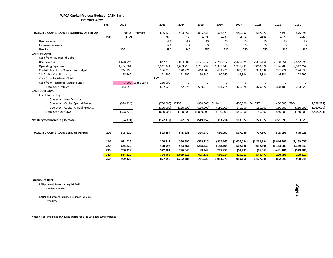|  | <b>WPCA Capital Projects Budget - CASH Basis</b> |  |
|--|--------------------------------------------------|--|
|--|--------------------------------------------------|--|

| FYE 2021-2022 |  |
|---------------|--|

|                                            | <b>FYE</b>   | 2022               | 2023            | 2024        | 2025             | 2026       | 2027              | 2028          | 2029          | 2030          |             |
|--------------------------------------------|--------------|--------------------|-----------------|-------------|------------------|------------|-------------------|---------------|---------------|---------------|-------------|
| PROJECTED CASH BALANCE BEGINNING OF PERIOD |              | 750,000 (Estimate) | 695,629         | 523,257     | 845,831          | 326,579    | 680,292           | 567,220       | 797,192       | 575,298       |             |
|                                            | <b>Units</b> | 3,621              | 3766            | 3917        | 4074             | 4236       | 4364              | 4494          | 4629          | 4768          |             |
| Use Increase                               |              |                    | 4%              | 4%          | 4%               | 4%         | 3%                | 3%            | 3%            | 3%            |             |
| <b>Expenses Increase</b>                   |              |                    | 6%              | 6%          | 6%               | 6%         | 6%                | 6%            | 6%            | 6%            |             |
| Use Rate                                   |              | 220                | 230             | 240         | 250              | 250        | 250               | 250           | 250           | 250           |             |
| <b>CASH INFLOWS</b>                        |              |                    |                 |             |                  |            |                   |               |               |               |             |
| Cash from Issuance of Debt                 |              |                    |                 |             |                  |            |                   |               |               |               |             |
| Use Revenue                                |              | 1,698,994          | 1,847,270       | 2,004,689   | 2,171,747        | 2,258,617  | 2,326,375         | 2,396,166     | 2,468,051     | 2,542,093     |             |
| <b>Operating Expenses</b>                  |              | 1,454,001          | 1,541,241       | 1,633,716   | 1,731,739        | 1,835,643  | 1,945,782         | 2,062,528     | 2,186,280     | 2,317,457     |             |
| <b>Contribution from Operations Budget</b> |              | 244,993            | 306,028         | 370,974     | 440,008          | 422,974    | 380,593           | 333,638       | 281,771       | 224,636       |             |
| 2% Capital Cost Recovery                   |              | 95,860             | 71,600          | 71,600      | 60,740           | 60,740     | 46,334            | 46,334        | 46,334        | 28,990        |             |
| Cash from Restricted District:             |              |                    | EXT             |             |                  |            |                   |               |               |               |             |
| Cash from Restricted District Funds        |              | 3,000 Sandy Lane   | 250,000         | $\mathbf 0$ | 0                | 0          | $\mathbf 0$       | $\mathbf 0$   | 0             | 0             |             |
| <b>Total Cash Inflows</b>                  |              | 343,853            | 627,628         | 442,574     | 500,748          | 483,714    | 426,928           | 379,972       | 328,105       | 253,625       |             |
| <b>CASH OUTFLOWS</b>                       |              |                    |                 |             |                  |            |                   |               |               |               |             |
| Per detail on Page 3                       |              |                    |                 |             |                  |            |                   |               |               |               |             |
| <b>Operations New Districts</b>            |              |                    |                 |             |                  |            |                   |               |               |               |             |
| <b>Operations Capital Special Projects</b> |              | (398, 224)         | (700,000) RT133 |             | (900,000) Caldor |            | (400,000) Fed 777 |               | (400,000) TBD |               | (2,798,224) |
| <b>Operations Capital Annual Projects</b>  |              |                    | (100,000)       | (120,000)   | (120,000)        | (130,000)  | (140,000)         | (150,000)     | (150,000)     | (150,000)     | (1,060,000) |
| <b>Total Cash Outflows</b>                 |              | (398, 224)         | (800,000)       | (120,000)   | (1,020,000)      | (130,000)  | (540,000)         | (150,000)     | (550,000)     | (150,000)     | (3,858,224) |
| <b>Net Budgeted Increase (Decrease)</b>    |              | (54, 371)          | (172, 372)      | 322,574     | (519, 252)       | 353,714    | (113,072)         | 229,972       | (221, 895)    | 103,625       |             |
|                                            |              |                    |                 |             |                  |            |                   |               |               |               |             |
| PROJECTED CASH BALANCE END OF PERIOD       | 220          | 695,629            | 523,257         | 845,831     | 326,579          | 680,292    | 567,220           | 797,192       | 575,298       | 678,923       |             |
|                                            | 210          | 611,028            | 268,412         | 330,895     | (545, 226)       | (562, 163) | (1,056,634)       | (1, 219, 134) | (1,844,903)   | (2, 139, 554) |             |
|                                            |              |                    |                 |             |                  |            |                   |               |               |               |             |
|                                            | 220          | 685,629            | 420,596         | 563,767     | (228, 439)       | (158, 104) | (562, 686)        | (632, 598)    | (1, 163, 004) | (1,359,430)   |             |
|                                            | 230          | 760,229            | 572,781         | 796,640     | 88,348           | 245,955    | (68, 737)         | (46, 063)     | (481, 104)    | (579, 305)    |             |
|                                            | 240          | 834,829            | 724,965         | 1,029,512   | 405,136          | 650.014    | 425,212           | 540,472       | 200,795       | 200,819       |             |
|                                            | 250          | 909,429            | 877,150         | 1,262,384   | 721,923          | 1,054,073  | 919,160           | 1,127,008     | 882,695       | 980,944       |             |

**Issuance of Debt BAN proceeds Issued during FYE 2021** Brookfield Market **BAN/Bond proceeds planned issuance FYE 2022** Dean Road - - **Note: It is assumed that BAN funds will be replaced with new BANs or bonds**

**Page 2**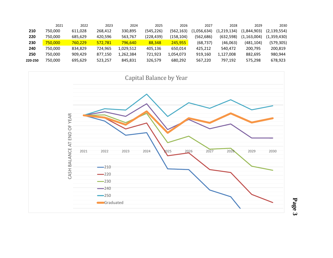|         | 2021    | 2022    | 2023    | 2024      | 2025       | 2026      | 2027        | 2028          | 2029          | 2030          |
|---------|---------|---------|---------|-----------|------------|-----------|-------------|---------------|---------------|---------------|
| 210     | 750.000 | 611,028 | 268.412 | 330.895   | (545, 226) | (562.163) | (1,056,634) | (1, 219, 134) | (1,844,903)   | (2, 139, 554) |
| 220     | 750.000 | 685.629 | 420.596 | 563.767   | (228,439)  | (158,104) | (562,686)   | (632, 598)    | (1, 163, 004) | (1,359,430)   |
| 230     | 750,000 | 760,229 | 572.781 | 796.640   | 88.348     | 245,955   | (68, 737)   | (46,063)      | (481,104)     | (579, 305)    |
| 240     | 750.000 | 834,829 | 724.965 | 1.029.512 | 405.136    | 650.014   | 425.212     | 540.472       | 200.795       | 200.819       |
| 250     | 750.000 | 909.429 | 877.150 | 1.262.384 | 721,923    | 1,054,073 | 919.160     | 1,127,008     | 882.695       | 980,944       |
| 220-250 | 750.000 | 695,629 | 523,257 | 845,831   | 326,579    | 680,292   | 567,220     | 797,192       | 575.298       | 678,923       |
|         |         |         |         |           |            |           |             |               |               |               |



**Page 3**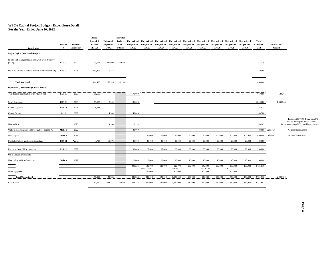#### **WPCA Capital Project Budget - Expenditure Detail**

**For the Year Ended June 30, 2022**

| <b>Description</b>                                             | Account<br># | Planned<br>Completion | Actual<br><b>Expended</b><br>to Date<br>12/31/20 | <b>Estimated</b><br><b>Expended</b><br>to 6/30/21 | <b>Restricted</b><br><b>Budget</b><br><b>FYE</b><br>6/30/22 | Unrestricted<br><b>Budget FYE</b><br>6/30/22 | Unrestricted<br><b>Budget FYE</b><br>6/30/23 | Unrestricted<br><b>Budget FYE</b><br>6/30/24 | Unrestricted<br><b>Budget FYE</b><br>6/30/25 | Unrestricted<br><b>Budget FYE</b><br>6/30/26 | <b>Unrestricted</b><br><b>Budget FYE</b><br>6/30/27 | Unrestricted<br><b>Budget FYE</b><br>6/30/28 | Unrestricted<br><b>Budget FYE</b><br>6/30/29 | <b>Unrestricted</b><br><b>Budget FYE</b><br>6/30/30 | Total<br><b>Estimated</b><br>Cost | Amount  | <b>Future Years</b> |                                                                                                                         |
|----------------------------------------------------------------|--------------|-----------------------|--------------------------------------------------|---------------------------------------------------|-------------------------------------------------------------|----------------------------------------------|----------------------------------------------|----------------------------------------------|----------------------------------------------|----------------------------------------------|-----------------------------------------------------|----------------------------------------------|----------------------------------------------|-----------------------------------------------------|-----------------------------------|---------|---------------------|-------------------------------------------------------------------------------------------------------------------------|
| Major Capital (Restricted) Projects                            |              |                       |                                                  |                                                   |                                                             |                                              |                                              |                                              |                                              |                                              |                                                     |                                              |                                              |                                                     |                                   |         |                     |                                                                                                                         |
| Rt 133 Station upgrades generator, wet well, driveway<br>(EXT) | 1720-02      | 2022                  | 13,168                                           | 249,000                                           | 11,950                                                      |                                              |                                              |                                              |                                              |                                              |                                                     |                                              |                                              |                                                     | 274,118                           |         |                     |                                                                                                                         |
| Old New Milford & Federal Roads Gravity Main (EXT)             | 1719-07      | 2021                  | 153,252                                          | 6,316                                             |                                                             |                                              |                                              |                                              |                                              |                                              |                                                     |                                              |                                              |                                                     | 159,568                           |         |                     |                                                                                                                         |
| <b>Total Restricted</b>                                        |              |                       | 166,420                                          | 255,316                                           | 11,950                                                      |                                              |                                              |                                              |                                              |                                              |                                                     |                                              |                                              |                                                     | 433,686                           |         |                     |                                                                                                                         |
| <b>Operations (Unrestricted) Capital Projects</b>              |              |                       |                                                  |                                                   |                                                             |                                              |                                              |                                              |                                              |                                              |                                                     |                                              |                                              |                                                     |                                   |         |                     |                                                                                                                         |
| TCD Force Main (Craft Center, Market etc)                      | 1720-03      | 2023                  | 10,636                                           |                                                   |                                                             | 70,000                                       |                                              |                                              |                                              |                                              |                                                     |                                              |                                              |                                                     | 650,000                           |         | 639,365             |                                                                                                                         |
| Sewer Extensions                                               | 1719-03      | 2023                  | 51,655                                           | 5,000                                             |                                                             | 180,000                                      |                                              |                                              |                                              |                                              |                                                     |                                              |                                              |                                                     | 1,800,000                         |         | 1,563,345           |                                                                                                                         |
| Caldor Magmeter                                                | 1718-01      | 2021                  | 28,513                                           |                                                   |                                                             |                                              |                                              |                                              |                                              |                                              |                                                     |                                              |                                              |                                                     | 28,513                            |         |                     |                                                                                                                         |
| Caldor Bypass                                                  | Get #        | 2022                  |                                                  | 4,500                                             |                                                             | 45,000                                       |                                              |                                              |                                              |                                              |                                                     |                                              |                                              |                                                     | 49,500                            |         |                     |                                                                                                                         |
| New Vehicle                                                    |              | 2025                  |                                                  | 4,260                                             |                                                             | 10,224                                       |                                              |                                              |                                              |                                              |                                                     |                                              |                                              |                                                     | 40,903                            |         |                     | Truck cost \$37000, 4 year loan, 5%<br>interest Principal Capital, Interest<br>26,419 Operating (\$852 monthly payment) |
| Water Connections 777 Federal Rd. PS; Railroad PS              | Make #       | 2022                  |                                                  |                                                   |                                                             | 33,000                                       |                                              |                                              |                                              |                                              |                                                     |                                              |                                              |                                                     | 33,000                            | Unknown |                     | No benefit assessment                                                                                                   |
| Misc Capital                                                   | Make #       | 2022                  |                                                  |                                                   |                                                             |                                              | 50,000                                       | 60,000                                       | 70,000                                       | 80,000                                       | 90,000                                              | 100,000                                      | 100,000                                      | 100,000                                             | 650,000                           | Unknown |                     | No benefit assessment                                                                                                   |
| Manhole Projects (replacements/paving)                         | 1715-01      | Annual                | 4,725                                            | 15,275                                            |                                                             | 20,000                                       | 20,000                                       | 20,000                                       | 20,000                                       | 20,000                                       | 20,000                                              | 20,000                                       | 20,000                                       | 20,000                                              | 180,000                           |         |                     |                                                                                                                         |
| Electrical Code / Misc Upgrades                                | Make #       | 2022                  |                                                  |                                                   |                                                             | 30,000                                       | 20,000                                       | 30,000                                       | 20,000                                       | 20,000                                       | 20,000                                              | 20,000                                       | 20,000                                       | 20,000                                              | 200,000                           |         |                     |                                                                                                                         |
| Other Capital Investments:                                     |              |                       |                                                  |                                                   |                                                             |                                              |                                              |                                              |                                              |                                              |                                                     |                                              |                                              |                                                     |                                   |         |                     |                                                                                                                         |
| New Utility Vehicle/Equipment                                  | Make #       | 2022                  |                                                  |                                                   |                                                             | 10,000                                       | 10,000                                       | 10,000                                       | 10,000                                       | 10,000                                       | 10,000                                              | 10,000                                       | 10,000                                       | 10,000                                              | 90,000                            |         |                     |                                                                                                                         |
|                                                                |              |                       |                                                  |                                                   |                                                             | 398,224                                      | 100,000<br>Route 133 PS                      | 120,000                                      | 120,000<br>Caldor PS                         | 130,000                                      | 140,000<br>777 Fed Rd PS                            | 150,000                                      | 150,000<br>TBD                               | 150,000                                             | 3,721,916                         |         |                     |                                                                                                                         |
| Major Upgrades                                                 |              |                       |                                                  |                                                   |                                                             |                                              | 700,000                                      |                                              | 900,000                                      |                                              | 400,000                                             |                                              | 400,000                                      |                                                     |                                   |         |                     |                                                                                                                         |
| <b>Total Unrestricted</b>                                      |              |                       | 95,529                                           | 29,035                                            |                                                             | 398,224                                      | 800,000                                      | 120,000                                      | 1,020,000                                    | 130,000                                      | 540,000                                             | 150,000                                      | 550,000                                      | 150,000                                             | 3,721,916                         |         | 2,229,129           |                                                                                                                         |
| <b>Grand Totals</b>                                            |              |                       | 261,949                                          | 284,351                                           | 11,950                                                      | 398,224                                      | 800,000                                      | 120,000                                      | 1,020,000                                    | 130,000                                      | 540,000                                             | 150,000                                      | 550,000                                      | 150,000                                             | 4,155,602                         |         |                     |                                                                                                                         |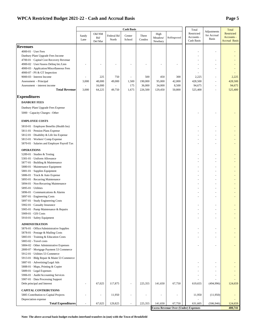#### **WPCA Restricted Budget 2021-22 - Cash and Accrual Basis Page 5**

|                                                                                   |                          |                          |                     | <b>Cash Basis</b> |                 |                            |                                             | Total                                  |                                            | Total                                            |
|-----------------------------------------------------------------------------------|--------------------------|--------------------------|---------------------|-------------------|-----------------|----------------------------|---------------------------------------------|----------------------------------------|--------------------------------------------|--------------------------------------------------|
|                                                                                   | Sandy<br>Lane            | Old NM<br>Rd/<br>Del Mar | Federal Rd<br>North | Center<br>School  | Three<br>Condos | High<br>Meadow/<br>Newbury | Rollingwood                                 | Restricted<br>Accounts -<br>Cash Basis | Adjustments<br>for Accrual<br><b>Basis</b> | Restricted<br>Accounts -<br><b>Accrual Basis</b> |
|                                                                                   |                          |                          |                     |                   |                 |                            |                                             |                                        |                                            |                                                  |
| <b>Revenues</b>                                                                   |                          |                          |                     |                   |                 |                            |                                             |                                        |                                            |                                                  |
| 4000-01 · User Fees                                                               |                          |                          |                     |                   |                 |                            |                                             |                                        |                                            |                                                  |
| Danbury Plant Upgrade Fees Income                                                 |                          |                          |                     |                   |                 |                            |                                             |                                        |                                            |                                                  |
| 4700-01 · Capital Cost Recovery Revenue<br>4900-02 · User/Assess Delinq Int./Lien |                          |                          |                     |                   |                 |                            |                                             |                                        |                                            |                                                  |
| 4900-03 · Application/Miscellaneous Fees                                          |                          |                          |                     |                   |                 |                            |                                             | ÷,                                     |                                            |                                                  |
| 4900-07 - PS & GT Inspection                                                      |                          |                          |                     |                   |                 |                            |                                             |                                        |                                            |                                                  |
| 9000-03 · Interest Income                                                         |                          | 225                      | 750                 |                   | 500             | 450                        | 300                                         | 2,225                                  |                                            | 2,225                                            |
| Assessment - Principal                                                            | 3,000                    | 48,000                   | 49,000              | 1,500             | 190,000         | 95,000                     | 42,000                                      | 428,500                                | $\sim$                                     | 428,500                                          |
| Assessment - interest income                                                      | $\overline{\phantom{a}}$ | 16,000                   |                     | 175               | 36,000          | 34,000                     | 8,500                                       | 94,675                                 |                                            | 94,675                                           |
| <b>Total Revenue</b>                                                              | 3,000                    | 64,225                   | 49,750              | 1,675             | 226,500         | 129,450                    | 50,800                                      | 525,400                                |                                            | 525,400                                          |
| <b>Expenditures</b>                                                               |                          |                          |                     |                   |                 |                            |                                             |                                        |                                            |                                                  |
| <b>DANBURY FEES</b>                                                               |                          |                          |                     |                   |                 |                            |                                             |                                        |                                            |                                                  |
| Danbury Plant Upgrade Fees Expense                                                |                          |                          |                     |                   |                 |                            |                                             |                                        |                                            |                                                  |
|                                                                                   |                          |                          |                     |                   |                 |                            |                                             |                                        |                                            |                                                  |
| 5000 · Capacity Charges - Other                                                   |                          |                          |                     |                   |                 |                            |                                             |                                        |                                            |                                                  |
| <b>EMPLOYEE COSTS</b>                                                             |                          |                          |                     |                   |                 |                            |                                             |                                        |                                            |                                                  |
| 5810-01 · Employee Benefits (Health Ins)                                          |                          |                          |                     |                   |                 |                            |                                             |                                        |                                            |                                                  |
| 5811-01 · Pension Plans Expense                                                   |                          |                          |                     |                   |                 |                            |                                             |                                        |                                            |                                                  |
| 5812-01 · Disability & Life Ins Expense                                           |                          |                          |                     |                   |                 |                            |                                             |                                        |                                            |                                                  |
| 5813-01 · Workers' Comp Expense                                                   |                          |                          |                     |                   |                 |                            |                                             |                                        |                                            |                                                  |
| 5870-01 Salaries and Employer Payroll Tax                                         |                          |                          |                     |                   |                 |                            |                                             |                                        |                                            |                                                  |
| <b>OPERATIONS</b>                                                                 |                          |                          |                     |                   |                 |                            |                                             |                                        |                                            |                                                  |
| 5289-01 · Studies & Testing                                                       |                          |                          |                     |                   |                 |                            |                                             |                                        |                                            |                                                  |
| 5301-01 · Uniform Allowance                                                       |                          |                          |                     |                   |                 |                            |                                             | ä,                                     |                                            |                                                  |
| 5877-01 Building & Maintenance                                                    |                          |                          |                     |                   |                 |                            |                                             |                                        |                                            |                                                  |
| 5880-01 Maintenance Equipment                                                     |                          |                          |                     |                   |                 |                            |                                             | ä,                                     |                                            |                                                  |
| 5881-01 · Supplies Equipment                                                      |                          |                          |                     |                   |                 |                            |                                             |                                        |                                            |                                                  |
| 5886-01 Truck & Auto Expense                                                      |                          |                          |                     |                   |                 |                            |                                             |                                        |                                            |                                                  |
| 5893-01 · Recurring Maintenance                                                   |                          |                          |                     |                   |                 |                            |                                             |                                        |                                            |                                                  |
| 5894-01 · Non-Recurring Maintenance                                               |                          |                          |                     |                   |                 |                            |                                             |                                        |                                            |                                                  |
| 5895-01 · Utilities                                                               |                          |                          |                     |                   |                 |                            |                                             |                                        |                                            |                                                  |
| 5896-01 Communications & Alarms                                                   |                          |                          |                     |                   |                 |                            |                                             |                                        |                                            |                                                  |
| 5897-01 · Engineering Costs                                                       |                          |                          |                     |                   |                 |                            |                                             |                                        |                                            |                                                  |
| 5897-01 · Study Engineering Costs                                                 |                          |                          |                     |                   |                 |                            |                                             |                                        |                                            |                                                  |
| 5902-01 · Casualty Insurance                                                      |                          |                          |                     |                   |                 |                            |                                             |                                        |                                            |                                                  |
| 5905-01 · Pump Maintenance & Repairs                                              |                          |                          |                     |                   |                 |                            |                                             |                                        |                                            |                                                  |
| $5909\text{-}01\cdot\text{GIS}$ Costs<br>5910-01 · Safety Equipment               |                          |                          |                     |                   |                 |                            |                                             |                                        |                                            |                                                  |
|                                                                                   |                          |                          |                     |                   |                 |                            |                                             |                                        |                                            |                                                  |
| <b>ADMINISTRATION</b>                                                             |                          |                          |                     |                   |                 |                            |                                             |                                        |                                            |                                                  |
| 5876-01 Office/Administrative Supplies                                            |                          |                          |                     |                   |                 |                            |                                             | ä,                                     |                                            |                                                  |
| 5878-01 · Postage & Mailing Costs                                                 |                          |                          |                     |                   |                 |                            |                                             |                                        |                                            |                                                  |
| 5883-01 Training & Education Costs                                                |                          |                          |                     |                   |                 |                            |                                             |                                        |                                            |                                                  |
| 5883-02 - Travel costs<br>5884-02 Other Administrative Expenses                   |                          |                          |                     |                   |                 |                            |                                             |                                        |                                            |                                                  |
| 2800-07 · Mortgage Payment 53 Commerce                                            |                          |                          |                     |                   |                 |                            |                                             |                                        |                                            |                                                  |
| 5912-01 · Utilities 53 Commerce                                                   |                          |                          |                     |                   |                 |                            |                                             |                                        |                                            |                                                  |
| 5913-01 Bldg Repair & Maint 53 Commerce                                           |                          |                          |                     |                   |                 |                            |                                             |                                        |                                            |                                                  |
| 5887-01 · Advertising/Legal Ads                                                   |                          |                          |                     |                   |                 |                            |                                             |                                        |                                            |                                                  |
| 5888-01 Maps, Printing & Copier                                                   |                          |                          |                     |                   |                 |                            |                                             |                                        |                                            |                                                  |
| 5889-01 · Legal Expenses                                                          |                          |                          |                     |                   |                 |                            |                                             |                                        |                                            |                                                  |
| 5906-01 · Audit/Accounting Services                                               |                          |                          |                     |                   |                 |                            |                                             |                                        |                                            |                                                  |
| 5907-01 · Data Processing Support                                                 |                          |                          |                     |                   |                 |                            |                                             |                                        |                                            |                                                  |
| Debt principal and Interest                                                       |                          | 67,025                   | 117,875             | ÷,                | 225,355         | 141,650                    | 67,750                                      | 619,655                                | (494,996)                                  | 124,659                                          |
| <b>CAPITAL CONTRIBUTIONS</b>                                                      |                          |                          |                     |                   |                 |                            |                                             |                                        |                                            |                                                  |
| 5885 Contribution to Capital Projects                                             | $\overline{\phantom{a}}$ | ä,                       | 11,950              |                   | ä,              | $\overline{\phantom{a}}$   |                                             | 11,950                                 | (11,950)                                   |                                                  |
| Depreciation expense                                                              |                          |                          |                     |                   |                 |                            |                                             |                                        |                                            |                                                  |
| <b>Total Expenditures</b>                                                         |                          | 67,025                   | 129,825             | ×,                | 225,355         | 141,650                    | 67,750                                      | 631,605                                | (506, 946)                                 | 124,659                                          |
|                                                                                   |                          |                          |                     |                   |                 |                            | <b>Excess Revenue Over (Under) Expenses</b> |                                        |                                            | 400,741                                          |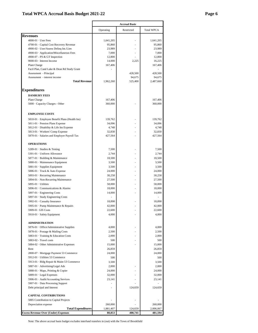#### **Total WPCA Accrual Basis Budget 2021-22 Page 6**

| <b>Revenues</b>                                   | Operating            |            |                      |
|---------------------------------------------------|----------------------|------------|----------------------|
|                                                   |                      | Restricted | Total WPCA           |
|                                                   |                      |            |                      |
| $4000-01$ · User Fees                             | 1,641,205            |            | 1,641,205            |
| 4700-01 · Capital Cost Recovery Revenue           | 95,860               |            | 95,860               |
| 4900-02 · User/Assess Deling Int./Lien            | 23,989               |            | 23,989               |
| 4900-03 · Application/Miscellaneous Fees          | 7,000                |            | 7,000                |
| 4900-07 - PS & GT Inspection                      | 12,800               |            | 12,800               |
| 9000-03 · Interest Income                         | 14,000               | 2,225      | 16,225               |
| Plant Charge                                      | 167,406              |            | 167,406              |
| Facil Plan, Cand Lake & Dean Rd Study Grant       |                      |            |                      |
| Assessment - Principal                            |                      | 428,500    | 428,500              |
| Assessment - interest income                      |                      | 94,675     | 94,675               |
| <b>Total Revenue</b>                              | 1,962,260            | 525,400    | 2,487,660            |
|                                                   |                      |            |                      |
| <b>Expenditures</b>                               |                      |            |                      |
| <b>DANBURY FEES</b>                               |                      |            |                      |
| Plant Charge                                      | 167,406              |            | 167,406              |
| 5000 · Capacity Charges - Other                   | 360,000              |            | 360,000              |
| <b>EMPLOYEE COSTS</b>                             |                      |            |                      |
| 5810-01 · Employee Benefit Plans (Health Ins)     | 139,762              |            | 139,762              |
| 5811-01 · Pension Plans Expense                   | 34,096               |            | 34,096               |
| 5812-01 · Disability & Life Ins Expense           | 4,748                |            | 4,748                |
| 5813-01 · Workers' Comp Expense                   | 32,830               |            | 32,830               |
| 5870-01 · Salaries and Employer Payroll Tax       | 427,564              |            | 427,564              |
| <b>OPERATIONS</b>                                 |                      |            |                      |
|                                                   | 7,500                |            | 7,500                |
| 5289-01 · Studies & Testing                       |                      |            |                      |
| 5301-01 · Uniform Allowance                       | 2,744                |            | 2,744                |
| 5877-01 · Building & Maintenance                  | 18,500               |            | 18,500               |
| 5880-01 · Maintenance Equipment                   | 3,500                | ٠          | 3,500                |
| 5881-01 · Supplies Equipment                      | 3,500                |            | 3,500                |
| 5886-01 · Truck & Auto Expense                    | 24,000               | ٠          | 24,000               |
| 5893-01 · Recurring Maintenance                   | 30,258               |            | 30,258               |
| 5894-01 · Non-Recurring Maintenance               | 27,500               |            | 27,500               |
| 5895-01 · Utilities                               | 58,000               |            | 58,000               |
| 5896-01 · Communications & Alarms                 | 18,000               |            | 18,000               |
| 5897-01 · Engineering Costs                       | 14,000               |            | 14,000               |
| 5897-01 · Study Engineering Costs                 |                      |            |                      |
| 5902-01 · Casualty Insurance                      | 18,898               |            | 18,898               |
| 5905-01 · Pump Maintenance & Repairs              | 42,000               |            | 42,000               |
| 5909-01 GIS Costs                                 | 22,600               |            | 22,600               |
| 5910-01 · Safety Equipment                        | 4,000                |            | 4,000                |
| <b>ADMINISTRATION</b>                             |                      |            |                      |
| 5876-01 · Office/Administrative Supplies          | 4,000                |            | 4,000                |
| 5878-01 · Postage & Mailing Costs                 | 2,500                |            | 2,500                |
| 5883-01 · Training & Education Costs              | 2,000                |            | 2,000                |
| 5883-02 - Travel costs                            |                      |            |                      |
|                                                   | 500                  |            | 500                  |
| 5884-02 · Other Administrative Expenses           | 15,000               |            | 15,000               |
| Rent                                              | 26,859               |            | 26,859               |
| 2800-07 · Mortgage Payment 53 Commerce            | 24,000               |            | 24,000               |
| 5912-01 · Utilities 53 Commerce                   | 500                  |            | 500                  |
| 5913-01 · Bldg Repair & Maint 53 Commerce         | 3,500                |            | 3,500                |
| 5887-01 · Advertising/Legal Ads                   | 2,000                |            | 2,000                |
| 5888-01 · Maps, Printing & Copier                 | 24,000               |            | 24,000               |
| 5889-01 · Legal Expenses                          | 32,000               |            | 32,000               |
| 5906-01 · Audit/Accounting Services               | 23,141               |            | 23,141               |
|                                                   |                      |            |                      |
| 5907-01 · Data Processing Support                 |                      | 124,659    | 124,659              |
| Debt principal and Interest                       |                      |            |                      |
|                                                   |                      |            |                      |
| <b>CAPITAL CONTRIBUTIONS</b>                      |                      |            |                      |
| 5885 Contribution to Capital Projects             |                      |            |                      |
| Depreciation expense<br><b>Total Expenditures</b> | 260,000<br>1,881,407 | 124,659    | 260,000<br>2,006,067 |

Note: The above accrual basis budget excludes interfund transfers in (out) with the Town of Brookfield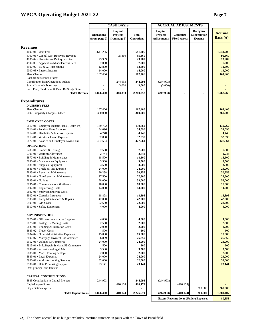#### **WPCA Operating Budget 2021-22 Page 7**

|                                                                     |                   | <b>CASH BASIS</b> |                   |                    | <b>ACCRUAL ADJUSTMENTS</b>                  |                     |                    |
|---------------------------------------------------------------------|-------------------|-------------------|-------------------|--------------------|---------------------------------------------|---------------------|--------------------|
|                                                                     |                   | Capital           |                   | Capital            |                                             | Recognize           |                    |
|                                                                     | <b>Operations</b> | Projects          | <b>Total</b>      | Projects           | Capitalize                                  | <b>Depreciation</b> | <b>Accrual</b>     |
|                                                                     | (from page 2)     | (from page 3)     | <b>Operations</b> | <b>Adjustments</b> | <b>Fixed Assets</b>                         | ${\bf Expense}$     | <b>Basis</b> $(A)$ |
|                                                                     |                   |                   |                   |                    |                                             |                     |                    |
| <b>Revenues</b>                                                     |                   |                   |                   |                    |                                             |                     |                    |
| $4000-01$ · User Fees                                               | 1,641,205         |                   | 1,641,205         |                    |                                             |                     | 1,641,205          |
| 4700-01 · Capital Cost Recovery Revenue                             |                   | 95,860            | 95,860            |                    |                                             |                     | 95,860             |
| 4900-02 · User/Assess Deling Int./Lien                              | 23,989            |                   | 23,989            |                    |                                             |                     | 23,989             |
| 4900-03 · Application/Miscellaneous Fees                            | 7,000             |                   | 7,000             |                    |                                             |                     | 7,000              |
| 4900-07 - PS & GT Inspections                                       | 12,800            |                   | 12,800            |                    |                                             |                     | 12,800             |
| 9000-03 · Interest Income                                           | 14,000            |                   | 14,000            |                    |                                             |                     | 14,000             |
| Plant Charge                                                        | 167,406           |                   | 167,406           |                    |                                             |                     | 167,406            |
| Cash from issuance of debt                                          |                   |                   |                   |                    |                                             |                     |                    |
| Contribution from Operations budget                                 | ÷,                | 244,993           | 244,993           | (244, 993)         |                                             |                     |                    |
| Sandy Lane reimburesment                                            |                   | 3,000             | 3,000             | (3,000)            |                                             |                     |                    |
| Facil Plan, Cand Lake & Dean Rd Study Grant                         |                   |                   |                   |                    |                                             |                     |                    |
| <b>Total Revenue</b>                                                | 1,866,400         | 343,853           | 2,210,253         | (247,993)          | ٠                                           | ٠                   | 1,962,260          |
|                                                                     |                   |                   |                   |                    |                                             |                     |                    |
| <b>Expenditures</b>                                                 |                   |                   |                   |                    |                                             |                     |                    |
| <b>DANBURY FEES</b>                                                 |                   |                   |                   |                    |                                             |                     |                    |
| Plant Charge                                                        | 167,406           |                   | 167,406           |                    |                                             |                     | 167,406            |
| 5000 · Capacity Charges - Other                                     | 360,000           |                   | 360,000           |                    |                                             |                     | 360,000            |
|                                                                     |                   |                   |                   |                    |                                             |                     |                    |
| <b>EMPLOYEE COSTS</b>                                               |                   |                   |                   |                    |                                             |                     |                    |
| 5810-01 · Employee Benefit Plans (Health Ins)                       | 139,762           |                   | 139,762           |                    |                                             |                     | 139,762            |
| 5811-01 · Pension Plans Expense                                     | 34,096            |                   | 34,096            |                    |                                             |                     | 34,096             |
| 5812-01 · Disability & Life Ins Expense                             | 4,748             |                   | 4,748             |                    |                                             |                     | 4,748              |
| 5813-01 · Workers' Comp Expense                                     | 32,830            |                   | 32,830            |                    |                                             |                     | 32,830             |
| 5870-01 · Salaries and Employer Payroll Tax                         | 427,564           |                   | 427,564           |                    |                                             |                     | 427,564            |
| <b>OPERATIONS</b>                                                   |                   |                   |                   |                    |                                             |                     |                    |
|                                                                     |                   |                   |                   |                    |                                             |                     |                    |
| 5289-01 · Studies & Testing                                         | 7,500             |                   | 7,500<br>2,744    |                    |                                             |                     | 7,500<br>2,744     |
| 5301-01 · Uniform Allowance                                         | 2,744             |                   |                   |                    |                                             |                     |                    |
| 5877-01 · Building & Maintenance<br>5880-01 · Maintenance Equipment | 18,500<br>3,500   |                   | 18,500<br>3,500   |                    |                                             |                     | 18,500<br>3,500    |
| 5881-01 · Supplies Equipment                                        | 3,500             |                   | 3,500             |                    |                                             |                     | 3,500              |
| 5886-01 · Truck & Auto Expense                                      | 24,000            |                   | 24,000            |                    |                                             |                     | 24,000             |
| 5893-01 · Recurring Maintenance                                     | 30,258            |                   | 30,258            |                    |                                             |                     | 30,258             |
| 5894-01 · Non-Recurring Maintenance                                 | 27,500            |                   | 27,500            |                    |                                             |                     | 27,500             |
| 5895-01 · Utilities                                                 |                   |                   | 58,000            |                    |                                             |                     | 58,000             |
| 5896-01 · Communications & Alarms                                   | 58,000<br>18,000  |                   | 18,000            |                    |                                             |                     | 18,000             |
| 5897-01 · Engineering Costs                                         | 14,000            |                   | 14,000            |                    |                                             |                     | 14,000             |
| 5897-01 · Study Engineering Costs                                   |                   |                   |                   |                    |                                             |                     |                    |
| 5902-01 · Casualty Insurance                                        | 18,898            |                   | 18,898            |                    |                                             |                     | 18,898             |
| 5905-01 · Pump Maintenance & Repairs                                | 42,000            |                   | 42,000            |                    |                                             |                     | 42,000             |
| 5909-01 · GIS Costs                                                 | 22,600            |                   | 22,600            |                    |                                             |                     | 22,600             |
| 5910-01 · Safety Equipment                                          | 4,000             |                   | 4,000             |                    |                                             |                     | 4,000              |
|                                                                     |                   |                   |                   |                    |                                             |                     |                    |
| <b>ADMINISTRATION</b>                                               |                   |                   |                   |                    |                                             |                     |                    |
|                                                                     |                   |                   |                   |                    |                                             |                     |                    |
| 5876-01 Office/Administrative Supplies                              | 4,000             |                   | 4,000             |                    |                                             |                     | 4,000              |
| 5878-01 · Postage & Mailing Costs                                   | 2,500             |                   | 2,500             |                    |                                             |                     | 2,500              |
| 5883-01 Training & Education Costs                                  | 2,000<br>500      |                   | 2,000<br>500      |                    |                                             |                     | 2,000<br>500       |
| 5883-02 - Travel Costs<br>5884-02 Other Administrative Expenses     | 15,000            |                   | 15,000            |                    |                                             |                     | 15,000             |
| 2800-07 · Mortgage Payment 53 Commerce                              | 26,859            |                   | 26,859            |                    |                                             |                     | 26,859             |
| 5912-01 · Utilities 53 Commerce                                     | 24,000            |                   | 24,000            |                    |                                             |                     | 24,000             |
| 5913-01 · Bldg Repair & Maint 53 Commerce                           | 500               |                   | 500               |                    |                                             |                     | 500                |
| 5887-01 · Advertising/Legal Ads                                     | 3,500             |                   | 3,500             |                    |                                             |                     | 3,500              |
| 5888-01 · Maps, Printing & Copier                                   | 2,000             |                   | 2,000             |                    |                                             |                     | 2,000              |
| 5889-01 · Legal Expenses                                            | 24,000            |                   | 24,000            |                    |                                             |                     | 24,000             |
| 5906-01 · Audit/Accounting Services                                 | 32,000            |                   | 32,000            |                    |                                             |                     | 32,000             |
| 5907-01 · Data Processing Support                                   | 23,141            |                   | 23,141            |                    |                                             |                     | 23,141             |
| Debt principal and Interest                                         |                   |                   |                   |                    |                                             |                     |                    |
|                                                                     |                   |                   |                   |                    |                                             |                     |                    |
| <b>CAPITAL CONTRIBUTIONS</b>                                        |                   |                   |                   |                    |                                             |                     |                    |
|                                                                     |                   |                   |                   |                    |                                             |                     |                    |
| 5885 Contribution to Capital Projects                               | 244,993           |                   | 244,993           | (244, 993)         |                                             |                     |                    |
| Capital expenditures<br>Depreciation expense                        |                   | 410,174           | 410,174           |                    | (410, 174)                                  | 260,000             | 260,000            |
|                                                                     |                   |                   |                   |                    |                                             |                     |                    |
| <b>Total Expenditures</b>                                           | 1,866,400         | 410,174           | 2,276,574         | (244,993)          | (410, 174)                                  | 260,000             | 1,881,407          |
|                                                                     |                   |                   |                   |                    | <b>Excess Revenue Over (Under) Expenses</b> |                     | 80,853             |